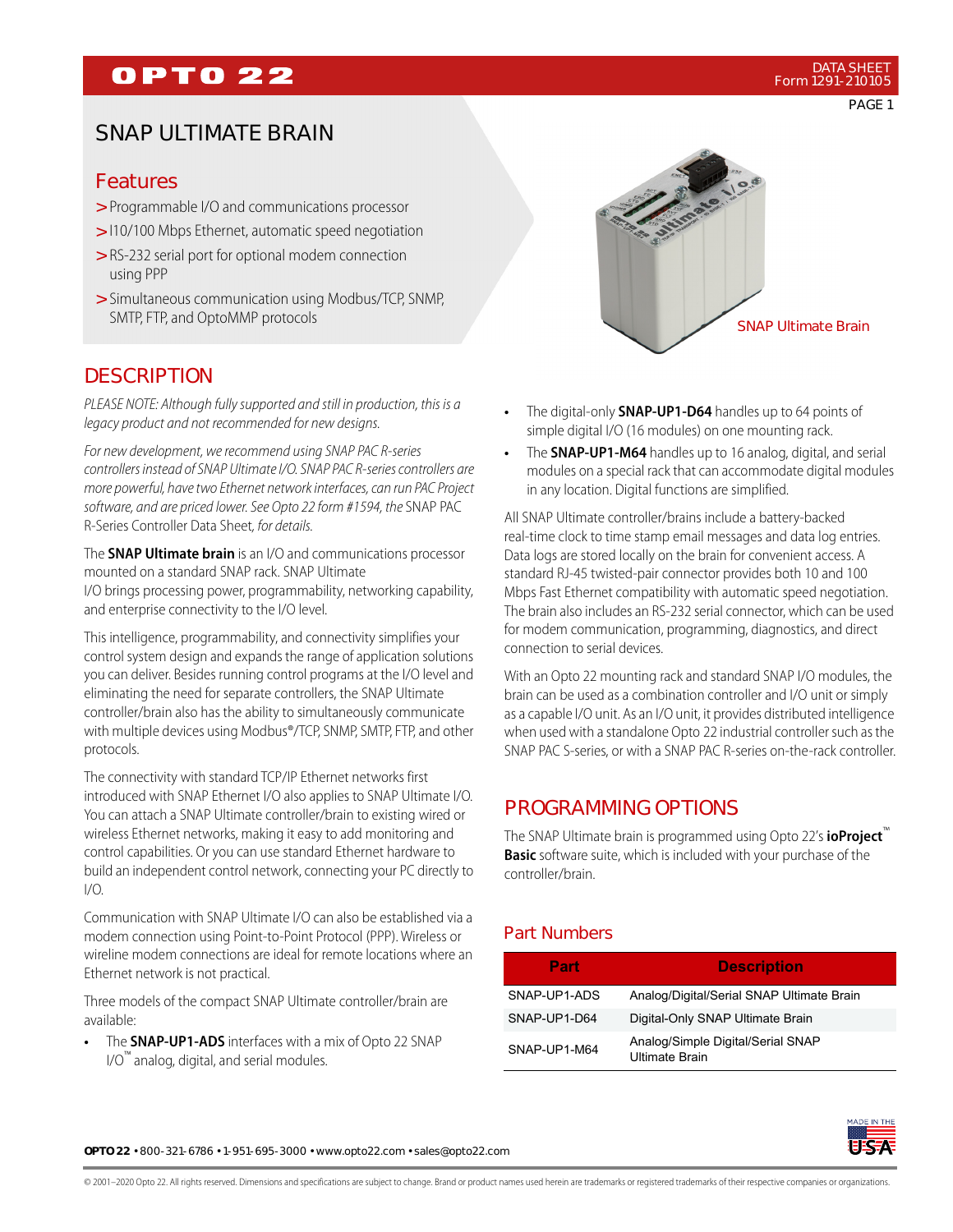## **OPTO 22**

PAGE 1

### SNAP ULTIMATE BRAIN

#### Features

- > Programmable I/O and communications processor
- > 110/100 Mbps Ethernet, automatic speed negotiation
- RS-232 serial port for optional modem connection > using PPP
- > Simultaneous communication using Modbus/TCP, SNMP, SMTP, FTP, and OptoMMP protocols

### **DESCRIPTION**

PLEASE NOTE: Although fully supported and still in production, this is a legacy product and not recommended for new designs.

For new development, we recommend using SNAP PAC R-series controllers instead of SNAP Ultimate I/O. SNAP PAC R-series controllers are more powerful, have two Ethernet network interfaces, can run PAC Project software, and are priced lower. See Opto 22 form #1594, the SNAP PAC R-Series Controller Data Sheet, for details.

The **SNAP Ultimate brain** is an I/O and communications processor mounted on a standard SNAP rack. SNAP Ultimate I/O brings processing power, programmability, networking capability, and enterprise connectivity to the I/O level.

This intelligence, programmability, and connectivity simplifies your control system design and expands the range of application solutions you can deliver. Besides running control programs at the I/O level and eliminating the need for separate controllers, the SNAP Ultimate controller/brain also has the ability to simultaneously communicate with multiple devices using Modbus®/TCP, SNMP, SMTP, FTP, and other protocols.

The connectivity with standard TCP/IP Ethernet networks first introduced with SNAP Ethernet I/O also applies to SNAP Ultimate I/O. You can attach a SNAP Ultimate controller/brain to existing wired or wireless Ethernet networks, making it easy to add monitoring and control capabilities. Or you can use standard Ethernet hardware to build an independent control network, connecting your PC directly to I/O.

Communication with SNAP Ultimate I/O can also be established via a modem connection using Point-to-Point Protocol (PPP). Wireless or wireline modem connections are ideal for remote locations where an Ethernet network is not practical.

Three models of the compact SNAP Ultimate controller/brain are available:

**•** The **SNAP-UP1-ADS** interfaces with a mix of Opto 22 SNAP I/O™ analog, digital, and serial modules.



- **•** The digital-only **SNAP-UP1-D64** handles up to 64 points of simple digital I/O (16 modules) on one mounting rack.
- **•** The **SNAP-UP1-M64** handles up to 16 analog, digital, and serial modules on a special rack that can accommodate digital modules in any location. Digital functions are simplified.

All SNAP Ultimate controller/brains include a battery-backed real-time clock to time stamp email messages and data log entries. Data logs are stored locally on the brain for convenient access. A standard RJ-45 twisted-pair connector provides both 10 and 100 Mbps Fast Ethernet compatibility with automatic speed negotiation. The brain also includes an RS-232 serial connector, which can be used for modem communication, programming, diagnostics, and direct connection to serial devices.

With an Opto 22 mounting rack and standard SNAP I/O modules, the brain can be used as a combination controller and I/O unit or simply as a capable I/O unit. As an I/O unit, it provides distributed intelligence when used with a standalone Opto 22 industrial controller such as the SNAP PAC S-series, or with a SNAP PAC R-series on-the-rack controller.

### PROGRAMMING OPTIONS

The SNAP Ultimate brain is programmed using Opto 22's **ioProject**™ **Basic** software suite, which is included with your purchase of the controller/brain.

#### Part Numbers

| Part         | <b>Description</b>                                  |
|--------------|-----------------------------------------------------|
| SNAP-UP1-ADS | Analog/Digital/Serial SNAP Ultimate Brain           |
| SNAP-UP1-D64 | Digital-Only SNAP Ultimate Brain                    |
| SNAP-UP1-M64 | Analog/Simple Digital/Serial SNAP<br>Ultimate Brain |



**OPTO 22** • 800-321-6786 • 1-951-695-3000 • www.opto22.com • sales@opto22.com

© 2001–2020 Opto 22. All rights reserved. Dimensions and specifications are subject to change. Brand or product names used herein are trademarks or registered trademarks of their respective companies or organizations.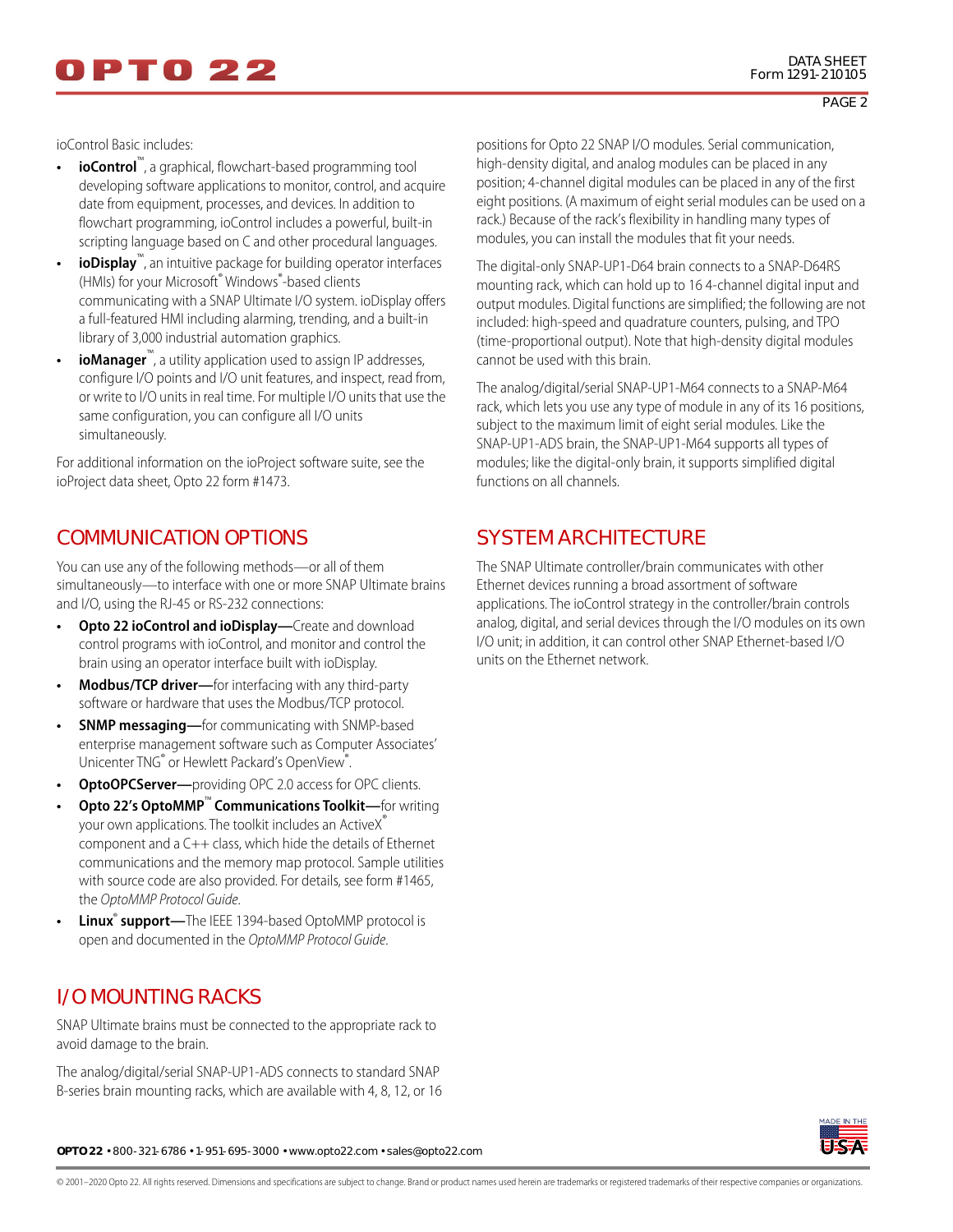ioControl Basic includes:

- **ioControl**™, a graphical, flowchart-based programming tool developing software applications to monitor, control, and acquire date from equipment, processes, and devices. In addition to flowchart programming, ioControl includes a powerful, built-in scripting language based on C and other procedural languages.
- **ioDisplay**<sup>™</sup>, an intuitive package for building operator interfaces (HMIs) for your Microsoft® Windows® -based clients communicating with a SNAP Ultimate I/O system. ioDisplay offers a full-featured HMI including alarming, trending, and a built-in library of 3,000 industrial automation graphics.
- **ioManager**™, a utility application used to assign IP addresses, configure I/O points and I/O unit features, and inspect, read from, or write to I/O units in real time. For multiple I/O units that use the same configuration, you can configure all I/O units simultaneously.

For additional information on the ioProject software suite, see the ioProject data sheet, Opto 22 form #1473.

### COMMUNICATION OPTIONS

You can use any of the following methods—or all of them simultaneously—to interface with one or more SNAP Ultimate brains and I/O, using the RJ-45 or RS-232 connections:

- **Opto 22 ioControl and ioDisplay—Create and download** control programs with ioControl, and monitor and control the brain using an operator interface built with ioDisplay.
- **Modbus/TCP driver—**for interfacing with any third-party software or hardware that uses the Modbus/TCP protocol.
- **SNMP messaging—**for communicating with SNMP-based enterprise management software such as Computer Associates' Unicenter TNG® or Hewlett Packard's OpenView® .
- **OptoOPCServer—**providing OPC 2.0 access for OPC clients.
- **Opto 22's OptoMMP**™ **Communications Toolkit—**for writing your own applications. The toolkit includes an ActiveX® component and a C++ class, which hide the details of Ethernet communications and the memory map protocol. Sample utilities with source code are also provided. For details, see form #1465, the OptoMMP Protocol Guide.
- Linux<sup>®</sup> support—The IEEE 1394-based OptoMMP protocol is open and documented in the OptoMMP Protocol Guide.

### I/O MOUNTING RACKS

SNAP Ultimate brains must be connected to the appropriate rack to avoid damage to the brain.

The analog/digital/serial SNAP-UP1-ADS connects to standard SNAP B-series brain mounting racks, which are available with 4, 8, 12, or 16 positions for Opto 22 SNAP I/O modules. Serial communication, high-density digital, and analog modules can be placed in any position; 4-channel digital modules can be placed in any of the first eight positions. (A maximum of eight serial modules can be used on a rack.) Because of the rack's flexibility in handling many types of modules, you can install the modules that fit your needs.

The digital-only SNAP-UP1-D64 brain connects to a SNAP-D64RS mounting rack, which can hold up to 16 4-channel digital input and output modules. Digital functions are simplified; the following are not included: high-speed and quadrature counters, pulsing, and TPO (time-proportional output). Note that high-density digital modules cannot be used with this brain.

The analog/digital/serial SNAP-UP1-M64 connects to a SNAP-M64 rack, which lets you use any type of module in any of its 16 positions, subject to the maximum limit of eight serial modules. Like the SNAP-UP1-ADS brain, the SNAP-UP1-M64 supports all types of modules; like the digital-only brain, it supports simplified digital functions on all channels.

### SYSTEM ARCHITECTURE

The SNAP Ultimate controller/brain communicates with other Ethernet devices running a broad assortment of software applications. The ioControl strategy in the controller/brain controls analog, digital, and serial devices through the I/O modules on its own I/O unit; in addition, it can control other SNAP Ethernet-based I/O units on the Ethernet network.



**OPTO 22** • 800-321-6786 • 1-951-695-3000 • www.opto22.com • sales@opto22.com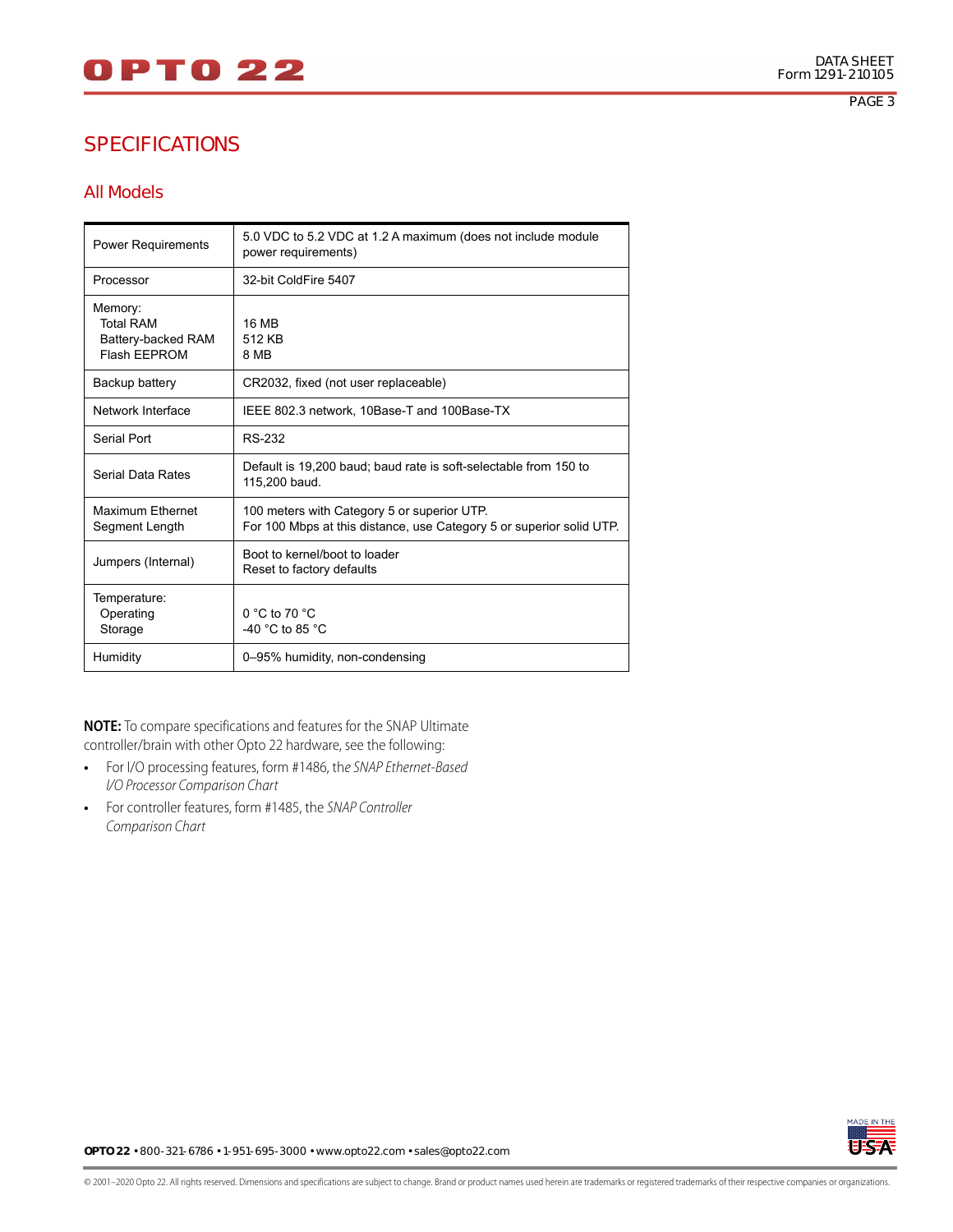# 0 P T 0 2 2

## SPECIFICATIONS

#### All Models

| <b>Power Requirements</b>                                         | 5.0 VDC to 5.2 VDC at 1.2 A maximum (does not include module<br>power requirements)                                 |
|-------------------------------------------------------------------|---------------------------------------------------------------------------------------------------------------------|
| Processor                                                         | 32-bit ColdFire 5407                                                                                                |
| Memory:<br><b>Total RAM</b><br>Battery-backed RAM<br>Flash FFPROM | 16 MB<br>512 KB<br>8 MB                                                                                             |
| Backup battery                                                    | CR2032, fixed (not user replaceable)                                                                                |
| Network Interface                                                 | IEEE 802.3 network, 10Base-T and 100Base-TX                                                                         |
| Serial Port                                                       | RS-232                                                                                                              |
| Serial Data Rates                                                 | Default is 19,200 baud; baud rate is soft-selectable from 150 to<br>115,200 baud.                                   |
| Maximum Ethernet<br>Segment Length                                | 100 meters with Category 5 or superior UTP.<br>For 100 Mbps at this distance, use Category 5 or superior solid UTP. |
| Jumpers (Internal)                                                | Boot to kernel/boot to loader<br>Reset to factory defaults                                                          |
| Temperature:<br>Operating<br>Storage                              | $0 °C$ to 70 $°C$<br>-40 $^{\circ}$ C to 85 $^{\circ}$ C                                                            |
| Humidity                                                          | 0-95% humidity, non-condensing                                                                                      |

**NOTE:** To compare specifications and features for the SNAP Ultimate controller/brain with other Opto 22 hardware, see the following:

- **•** For I/O processing features, form #1486, the SNAP Ethernet-Based I/O Processor Comparison Chart
- **•** For controller features, form #1485, the SNAP Controller Comparison Chart



**OPTO 22** • 800-321-6786 • 1-951-695-3000 • www.opto22.com • sales@opto22.com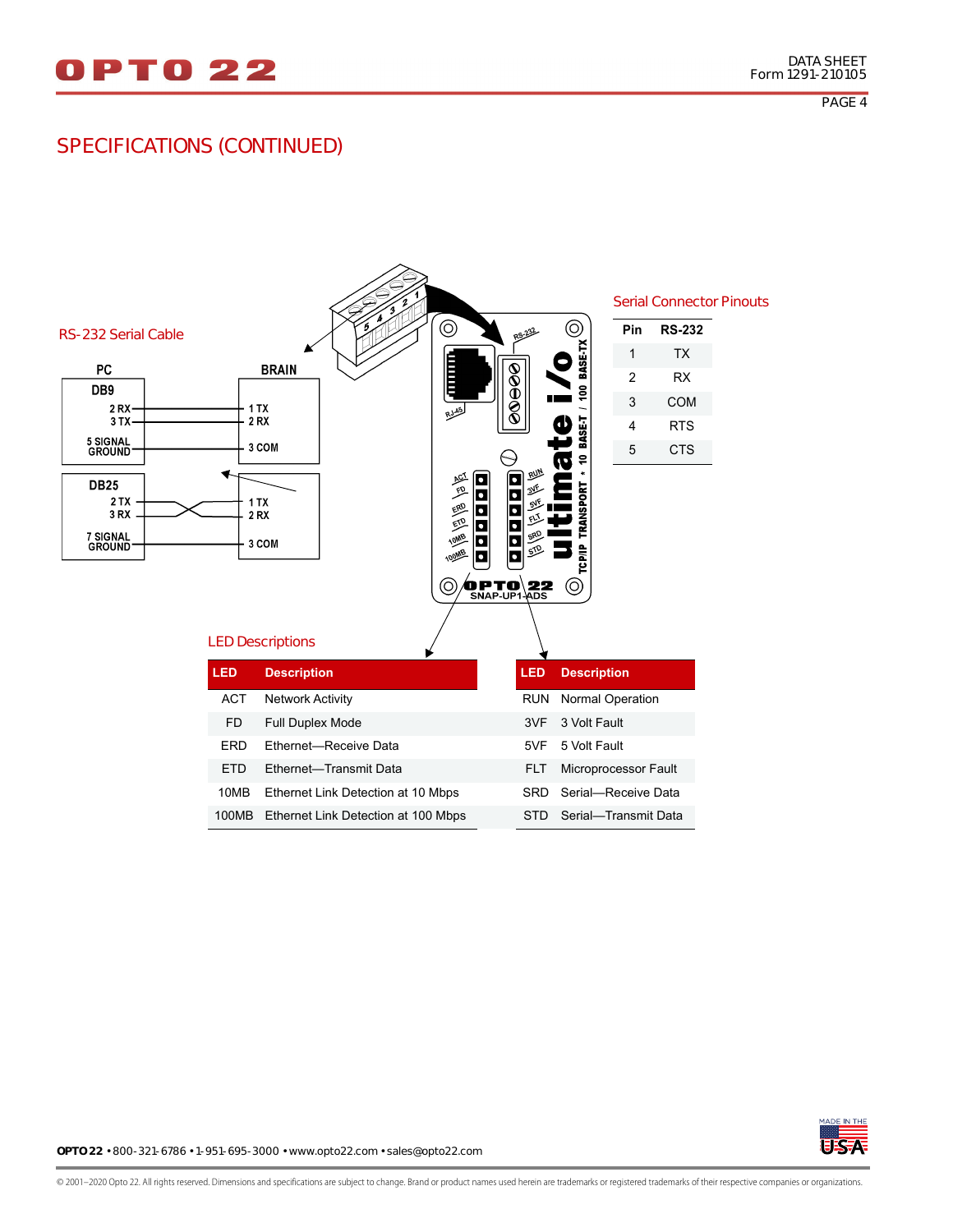#### SPECIFICATIONS (CONTINUED)





**OPTO 22** • 800-321-6786 • 1-951-695-3000 • www.opto22.com • sales@opto22.com

© 2001–2020 Opto 22. All rights reserved. Dimensions and specifications are subject to change. Brand or product names used herein are trademarks or registered trademarks of their respective companies or organizations.